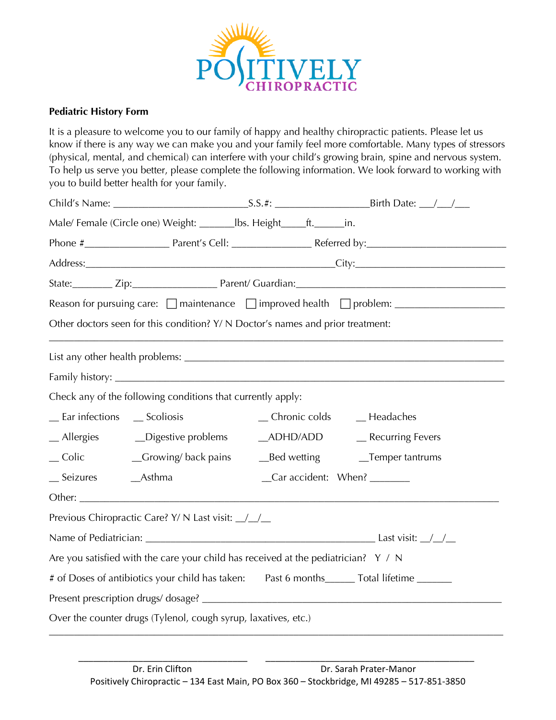

## **Pediatric History Form**

It is a pleasure to welcome you to our family of happy and healthy chiropractic patients. Please let us know if there is any way we can make you and your family feel more comfortable. Many types of stressors (physical, mental, and chemical) can interfere with your child's growing brain, spine and nervous system. To help us serve you better, please complete the following information. We look forward to working with you to build better health for your family.

|                                                                                           | Male/Female (Circle one) Weight: ________ lbs. Height_____ft. ______ in.             |                  |                                                        |  |  |
|-------------------------------------------------------------------------------------------|--------------------------------------------------------------------------------------|------------------|--------------------------------------------------------|--|--|
|                                                                                           |                                                                                      |                  |                                                        |  |  |
|                                                                                           |                                                                                      |                  |                                                        |  |  |
|                                                                                           |                                                                                      |                  | State: Zip: Zip: Parent/ Guardian: 2008 2009 2010 2021 |  |  |
|                                                                                           |                                                                                      |                  |                                                        |  |  |
| Other doctors seen for this condition? Y/ N Doctor's names and prior treatment:           |                                                                                      |                  |                                                        |  |  |
|                                                                                           |                                                                                      |                  |                                                        |  |  |
|                                                                                           |                                                                                      |                  |                                                        |  |  |
|                                                                                           | Check any of the following conditions that currently apply:                          |                  |                                                        |  |  |
| _Ear infections __ Scoliosis                                                              |                                                                                      |                  | _Chronic colds _______Headaches                        |  |  |
|                                                                                           | _ Allergies ______ Digestive problems                                                | $\_\$ {ADHD/ADD} | _Recurring Fevers                                      |  |  |
|                                                                                           | _Colic ___________Growing/back pains                                                 |                  |                                                        |  |  |
| __ Seizures ________Asthma                                                                |                                                                                      |                  | $Car$ accident: When? $\frac{C}{c}$                    |  |  |
|                                                                                           |                                                                                      |                  |                                                        |  |  |
|                                                                                           | Previous Chiropractic Care? Y/ N Last visit: _/_/_                                   |                  |                                                        |  |  |
|                                                                                           |                                                                                      |                  |                                                        |  |  |
|                                                                                           | Are you satisfied with the care your child has received at the pediatrician? $Y / N$ |                  |                                                        |  |  |
| # of Doses of antibiotics your child has taken: Past 6 months______ Total lifetime ______ |                                                                                      |                  |                                                        |  |  |
|                                                                                           |                                                                                      |                  |                                                        |  |  |
| Over the counter drugs (Tylenol, cough syrup, laxatives, etc.)                            |                                                                                      |                  |                                                        |  |  |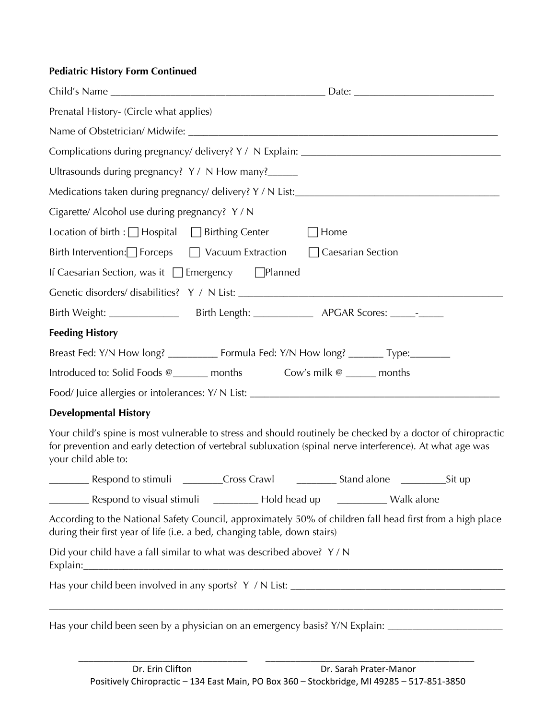## **Pediatric History Form Continued**

| Prenatal History- (Circle what applies)                                                                                                                                                                                                        |                                                           |  |
|------------------------------------------------------------------------------------------------------------------------------------------------------------------------------------------------------------------------------------------------|-----------------------------------------------------------|--|
|                                                                                                                                                                                                                                                |                                                           |  |
|                                                                                                                                                                                                                                                |                                                           |  |
| Ultrasounds during pregnancy? Y / N How many?_____                                                                                                                                                                                             |                                                           |  |
| Medications taken during pregnancy/delivery? Y/N List:___________________________                                                                                                                                                              |                                                           |  |
| Cigarette/ Alcohol use during pregnancy? Y/N                                                                                                                                                                                                   |                                                           |  |
| Location of birth : $\Box$ Hospital $\Box$ Birthing Center                                                                                                                                                                                     | $\Box$ Home                                               |  |
| Birth Intervention: Forceps $\Box$ Vacuum Extraction $\Box$ Caesarian Section                                                                                                                                                                  |                                                           |  |
| If Caesarian Section, was it $\Box$ Emergency $\Box$ Planned                                                                                                                                                                                   |                                                           |  |
|                                                                                                                                                                                                                                                |                                                           |  |
|                                                                                                                                                                                                                                                |                                                           |  |
| <b>Feeding History</b>                                                                                                                                                                                                                         |                                                           |  |
| Breast Fed: Y/N How long? ___________ Formula Fed: Y/N How long? _______ Type: ________                                                                                                                                                        |                                                           |  |
| Introduced to: Solid Foods @______ months Cow's milk @ _____ months                                                                                                                                                                            |                                                           |  |
|                                                                                                                                                                                                                                                |                                                           |  |
| <b>Developmental History</b>                                                                                                                                                                                                                   |                                                           |  |
| Your child's spine is most vulnerable to stress and should routinely be checked by a doctor of chiropractic<br>for prevention and early detection of vertebral subluxation (spinal nerve interference). At what age was<br>your child able to: |                                                           |  |
|                                                                                                                                                                                                                                                |                                                           |  |
| Respond to visual stimuli                                                                                                                                                                                                                      | Lackbook Control Hold head up Lackbook Control Walk alone |  |
| According to the National Safety Council, approximately 50% of children fall head first from a high place<br>during their first year of life (i.e. a bed, changing table, down stairs)                                                         |                                                           |  |
| Did your child have a fall similar to what was described above? Y/N                                                                                                                                                                            |                                                           |  |
|                                                                                                                                                                                                                                                |                                                           |  |
| Has your child been seen by a physician on an emergency basis? Y/N Explain: ___________                                                                                                                                                        |                                                           |  |